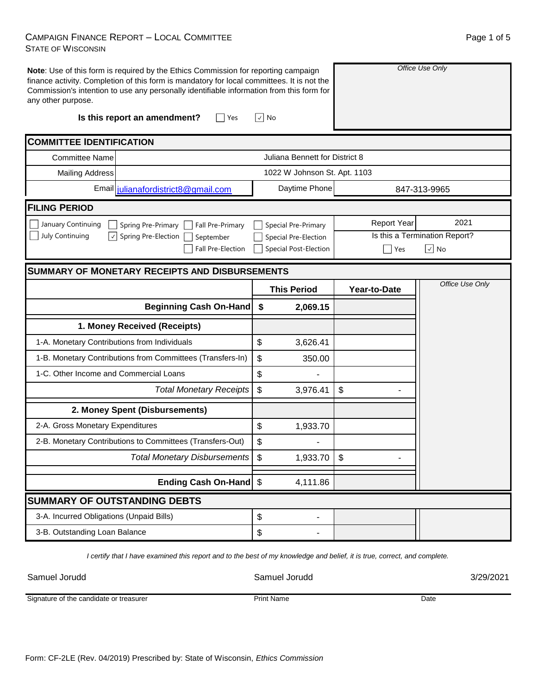## CAMPAIGN FINANCE REPORT – LOCAL COMMITTEE STATE OF WISCONSIN

| Page 1 of 5 |  |
|-------------|--|
|             |  |

| any other purpose.                                             | Note: Use of this form is required by the Ethics Commission for reporting campaign<br>finance activity. Completion of this form is mandatory for local committees. It is not the<br>Commission's intention to use any personally identifiable information from this form for |                                       |                    | Office Use Only               |
|----------------------------------------------------------------|------------------------------------------------------------------------------------------------------------------------------------------------------------------------------------------------------------------------------------------------------------------------------|---------------------------------------|--------------------|-------------------------------|
|                                                                | Is this report an amendment?<br>Yes                                                                                                                                                                                                                                          | √  No                                 |                    |                               |
| <b>COMMITTEE IDENTIFICATION</b>                                |                                                                                                                                                                                                                                                                              |                                       |                    |                               |
| <b>Committee Name</b>                                          |                                                                                                                                                                                                                                                                              | Juliana Bennett for District 8        |                    |                               |
| <b>Mailing Address</b>                                         |                                                                                                                                                                                                                                                                              | 1022 W Johnson St. Apt. 1103          |                    |                               |
|                                                                | Email julianafordistrict8@gmail.com                                                                                                                                                                                                                                          | Daytime Phone                         |                    | 847-313-9965                  |
| <b>FILING PERIOD</b>                                           |                                                                                                                                                                                                                                                                              |                                       |                    |                               |
| January Continuing                                             | Spring Pre-Primary<br>Fall Pre-Primary                                                                                                                                                                                                                                       | Special Pre-Primary                   | <b>Report Year</b> | 2021                          |
| July Continuing<br>$ \hspace{.06cm}\downarrow \hspace{.06cm} $ | Spring Pre-Election<br>September                                                                                                                                                                                                                                             | Special Pre-Election                  |                    | Is this a Termination Report? |
|                                                                | Fall Pre-Election                                                                                                                                                                                                                                                            | <b>Special Post-Election</b>          | Yes                | $\sqrt{ }$ No                 |
|                                                                | <b>SUMMARY OF MONETARY RECEIPTS AND DISBURSEMENTS</b>                                                                                                                                                                                                                        |                                       |                    |                               |
|                                                                |                                                                                                                                                                                                                                                                              | <b>This Period</b>                    | Year-to-Date       | Office Use Only               |
|                                                                | <b>Beginning Cash On-Hand</b>                                                                                                                                                                                                                                                | \$<br>2,069.15                        |                    |                               |
|                                                                | 1. Money Received (Receipts)                                                                                                                                                                                                                                                 |                                       |                    |                               |
| 1-A. Monetary Contributions from Individuals                   |                                                                                                                                                                                                                                                                              | \$<br>3,626.41                        |                    |                               |
|                                                                | 1-B. Monetary Contributions from Committees (Transfers-In)                                                                                                                                                                                                                   | \$<br>350.00                          |                    |                               |
| 1-C. Other Income and Commercial Loans                         |                                                                                                                                                                                                                                                                              | \$                                    |                    |                               |
|                                                                | <b>Total Monetary Receipts</b>                                                                                                                                                                                                                                               | \$<br>3,976.41                        | \$                 |                               |
|                                                                |                                                                                                                                                                                                                                                                              |                                       |                    |                               |
|                                                                | 2. Money Spent (Disbursements)                                                                                                                                                                                                                                               |                                       |                    |                               |
| 2-A. Gross Monetary Expenditures                               |                                                                                                                                                                                                                                                                              | \$<br>1,933.70                        |                    |                               |
|                                                                | 2-B. Monetary Contributions to Committees (Transfers-Out)                                                                                                                                                                                                                    | \$                                    |                    |                               |
|                                                                | <b>Total Monetary Disbursements</b>                                                                                                                                                                                                                                          | $\boldsymbol{\mathsf{S}}$<br>1,933.70 | \$                 |                               |
|                                                                | Ending Cash On-Hand \$                                                                                                                                                                                                                                                       | 4,111.86                              |                    |                               |
| <b>SUMMARY OF OUTSTANDING DEBTS</b>                            |                                                                                                                                                                                                                                                                              |                                       |                    |                               |
| 3-A. Incurred Obligations (Unpaid Bills)                       |                                                                                                                                                                                                                                                                              | \$<br>-                               |                    |                               |

*I certify that I have examined this report and to the best of my knowledge and belief, it is true, correct, and complete.*

Samuel Jorudd Samuel Jorudd 3/29/2021

Signature of the candidate or treasurer

Print Name Date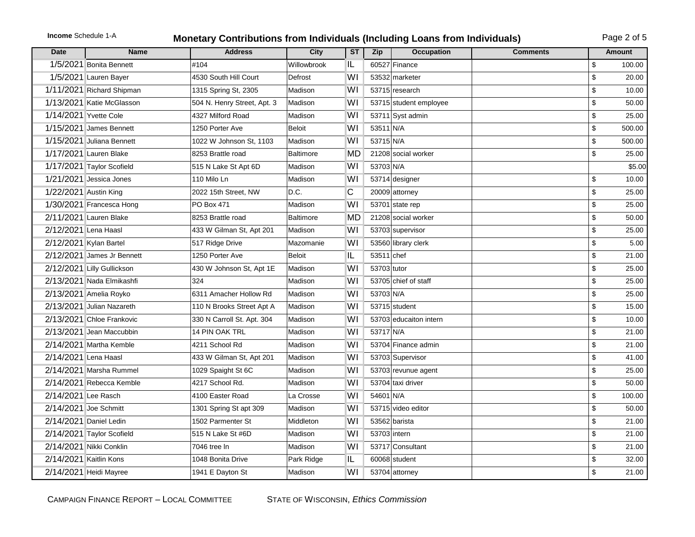## **Income** Schedule 1-A **Monetary Contributions from Individuals (Including Loans from Individuals)** Page 2 of 5

| <b>Date</b>         | <b>Name</b>                | <b>Address</b>              | City             | <b>ST</b> | <b>Zip</b>   | <b>Occupation</b>      | <b>Comments</b> |                           | <b>Amount</b> |
|---------------------|----------------------------|-----------------------------|------------------|-----------|--------------|------------------------|-----------------|---------------------------|---------------|
|                     | 1/5/2021 Bonita Bennett    | #104                        | Willowbrook      | IL        |              | 60527 Finance          |                 | \$                        | 100.00        |
|                     | 1/5/2021 Lauren Bayer      | 4530 South Hill Court       | Defrost          | WI        |              | 53532 marketer         |                 | \$                        | 20.00         |
|                     | 1/11/2021 Richard Shipman  | 1315 Spring St, 2305        | Madison          | WI        |              | 53715 research         |                 | \$                        | 10.00         |
|                     | 1/13/2021 Katie McGlasson  | 504 N. Henry Street, Apt. 3 | Madison          | WI        |              | 53715 student employee |                 | \$                        | 50.00         |
|                     | 1/14/2021 Yvette Cole      | 4327 Milford Road           | Madison          | WI        |              | 53711 Syst admin       |                 | \$                        | 25.00         |
|                     | 1/15/2021 James Bennett    | 1250 Porter Ave             | <b>Beloit</b>    | WI        | 53511 N/A    |                        |                 | \$                        | 500.00        |
|                     | 1/15/2021 Juliana Bennett  | 1022 W Johnson St, 1103     | Madison          | WI        | 53715 N/A    |                        |                 | \$                        | 500.00        |
|                     | 1/17/2021 Lauren Blake     | 8253 Brattle road           | <b>Baltimore</b> | <b>MD</b> |              | 21208 social worker    |                 | \$                        | 25.00         |
|                     | 1/17/2021 Taylor Scofield  | 515 N Lake St Apt 6D        | Madison          | WI        | 53703 N/A    |                        |                 |                           | \$5.00        |
|                     | 1/21/2021 Jessica Jones    | 110 Milo Ln                 | Madison          | WI        |              | 53714 designer         |                 | \$                        | 10.00         |
|                     | 1/22/2021 Austin King      | 2022 15th Street, NW        | D.C.             | C         |              | 20009 attorney         |                 | \$                        | 25.00         |
|                     | 1/30/2021 Francesca Hong   | PO Box 471                  | Madison          | WI        |              | 53701 state rep        |                 | \$                        | 25.00         |
|                     | 2/11/2021 Lauren Blake     | 8253 Brattle road           | <b>Baltimore</b> | <b>MD</b> |              | 21208 social worker    |                 | \$                        | 50.00         |
|                     | 2/12/2021 Lena Haasl       | 433 W Gilman St, Apt 201    | Madison          | WI        |              | 53703 supervisor       |                 | \$                        | 25.00         |
|                     | 2/12/2021 Kylan Bartel     | 517 Ridge Drive             | Mazomanie        | WI        |              | 53560 library clerk    |                 | \$                        | 5.00          |
|                     | 2/12/2021 James Jr Bennett | 1250 Porter Ave             | <b>Beloit</b>    | IL        | 53511 chef   |                        |                 | \$                        | 21.00         |
|                     | 2/12/2021 Lilly Gullickson | 430 W Johnson St, Apt 1E    | Madison          | WI        | 53703 tutor  |                        |                 | \$                        | 25.00         |
|                     | 2/13/2021 Nada Elmikashfi  | 324                         | Madison          | WI        |              | 53705 chief of staff   |                 | \$                        | 25.00         |
|                     | 2/13/2021 Amelia Royko     | 6311 Amacher Hollow Rd      | Madison          | WI        | 53703 N/A    |                        |                 | \$                        | 25.00         |
|                     | 2/13/2021 Julian Nazareth  | 110 N Brooks Street Apt A   | Madison          | WI        |              | 53715 student          |                 | \$                        | 15.00         |
|                     | 2/13/2021 Chloe Frankovic  | 330 N Carroll St. Apt. 304  | Madison          | WI        |              | 53703 educaiton intern |                 | \$                        | 10.00         |
|                     | 2/13/2021 Jean Maccubbin   | <b>14 PIN OAK TRL</b>       | Madison          | WI        | 53717 N/A    |                        |                 | \$                        | 21.00         |
|                     | 2/14/2021 Martha Kemble    | 4211 School Rd              | Madison          | WI        |              | 53704 Finance admin    |                 | $\boldsymbol{\mathsf{S}}$ | 21.00         |
|                     | 2/14/2021 Lena Haasl       | 433 W Gilman St, Apt 201    | Madison          | WI        |              | 53703 Supervisor       |                 | \$                        | 41.00         |
|                     | 2/14/2021 Marsha Rummel    | 1029 Spaight St 6C          | Madison          | WI        |              | 53703 revunue agent    |                 | \$                        | 25.00         |
|                     | 2/14/2021 Rebecca Kemble   | 4217 School Rd.             | Madison          | WI        |              | 53704 taxi driver      |                 | \$                        | 50.00         |
| 2/14/2021 Lee Rasch |                            | 4100 Easter Road            | La Crosse        | WI        | 54601 N/A    |                        |                 | \$                        | 100.00        |
|                     | 2/14/2021 Joe Schmitt      | 1301 Spring St apt 309      | Madison          | WI        |              | 53715 video editor     |                 | \$                        | 50.00         |
|                     | 2/14/2021 Daniel Ledin     | 1502 Parmenter St           | Middleton        | WI        |              | 53562 barista          |                 | $\mathsf{\$}$             | 21.00         |
|                     | 2/14/2021 Taylor Scofield  | 515 N Lake St #6D           | Madison          | WI        | 53703 intern |                        |                 | \$                        | 21.00         |
|                     | 2/14/2021 Nikki Conklin    | 7046 tree In                | Madison          | WI        |              | 53717 Consultant       |                 | \$                        | 21.00         |
|                     | 2/14/2021 Kaitlin Kons     | 1048 Bonita Drive           | Park Ridge       | IL        |              | $60068$ student        |                 | \$                        | 32.00         |
|                     | 2/14/2021 Heidi Mayree     | 1941 E Dayton St            | Madison          | WI        |              | 53704 attorney         |                 | \$                        | 21.00         |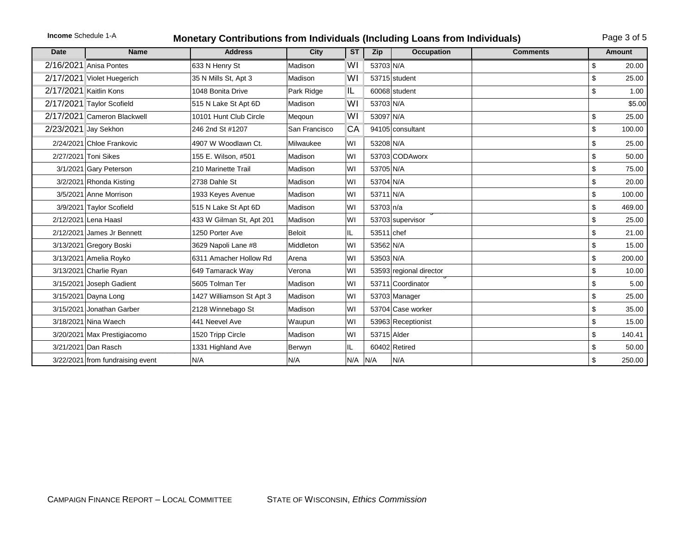## **Income** Schedule 1-A **Monetary Contributions from Individuals (Including Loans from Individuals)** Page 3 of 5

| <b>Date</b> | <b>Name</b>                      | <b>Address</b>           | City          | <b>ST</b> | Zip         | <b>Occupation</b>       | <b>Comments</b> | Amount       |
|-------------|----------------------------------|--------------------------|---------------|-----------|-------------|-------------------------|-----------------|--------------|
|             | 2/16/2021 Anisa Pontes           | 633 N Henry St           | Madison       | WI        | 53703 N/A   |                         |                 | \$<br>20.00  |
|             | 2/17/2021 Violet Huegerich       | 35 N Mills St, Apt 3     | Madison       | WI        |             | 53715 student           |                 | \$<br>25.00  |
|             | 2/17/2021 Kaitlin Kons           | 1048 Bonita Drive        | Park Ridge    | IL        |             | 60068 student           |                 | \$<br>1.00   |
|             | 2/17/2021 Taylor Scofield        | 515 N Lake St Apt 6D     | Madison       | WI        | 53703 N/A   |                         |                 | \$5.00       |
|             | 2/17/2021 Cameron Blackwell      | 10101 Hunt Club Circle   | Meqoun        | WI        | 53097 N/A   |                         |                 | \$<br>25.00  |
|             | 2/23/2021 Jay Sekhon             | 246 2nd St #1207         | San Francisco | CA        |             | 94105 consultant        |                 | \$<br>100.00 |
|             | 2/24/2021 Chloe Frankovic        | 4907 W Woodlawn Ct.      | Milwaukee     | WI        | 53208 N/A   |                         |                 | \$<br>25.00  |
|             | 2/27/2021 Toni Sikes             | 155 E. Wilson, #501      | Madison       | WI        |             | 53703 CODAworx          |                 | \$<br>50.00  |
|             | 3/1/2021 Gary Peterson           | 210 Marinette Trail      | Madison       | WI        | 53705 N/A   |                         |                 | \$<br>75.00  |
|             | 3/2/2021 Rhonda Kisting          | 2738 Dahle St            | Madison       | WI        | 53704 N/A   |                         |                 | \$<br>20.00  |
|             | 3/5/2021 Anne Morrison           | 1933 Keyes Avenue        | Madison       | WI        | 53711 N/A   |                         |                 | \$<br>100.00 |
|             | 3/9/2021 Taylor Scofield         | 515 N Lake St Apt 6D     | Madison       | WI        | 53703 n/a   |                         |                 | \$<br>469.00 |
|             | 2/12/2021 Lena Haasl             | 433 W Gilman St, Apt 201 | Madison       | WI        |             | 53703 supervisor        |                 | \$<br>25.00  |
|             | 2/12/2021 James Jr Bennett       | 1250 Porter Ave          | <b>Beloit</b> | IL        | 53511 chef  |                         |                 | \$<br>21.00  |
|             | 3/13/2021 Gregory Boski          | 3629 Napoli Lane #8      | Middleton     | WI        | 53562 N/A   |                         |                 | \$<br>15.00  |
|             | 3/13/2021 Amelia Royko           | 6311 Amacher Hollow Rd   | Arena         | WI        | 53503 N/A   |                         |                 | \$<br>200.00 |
|             | 3/13/2021 Charlie Ryan           | 649 Tamarack Way         | Verona        | WI        |             | 53593 regional director |                 | \$<br>10.00  |
|             | 3/15/2021 Joseph Gadient         | 5605 Tolman Ter          | Madison       | WI        |             | 53711 Coordinator       |                 | \$<br>5.00   |
|             | 3/15/2021 Dayna Long             | 1427 Williamson St Apt 3 | Madison       | WI        |             | 53703 Manager           |                 | \$<br>25.00  |
|             | 3/15/2021 Jonathan Garber        | 2128 Winnebago St        | Madison       | WI        |             | 53704 Case worker       |                 | \$<br>35.00  |
|             | 3/18/2021 Nina Waech             | 441 Neevel Ave           | Waupun        | WI        |             | 53963 Receptionist      |                 | \$<br>15.00  |
|             | 3/20/2021 Max Prestigiacomo      | 1520 Tripp Circle        | Madison       | WI        | 53715 Alder |                         |                 | \$<br>140.41 |
|             | 3/21/2021 Dan Rasch              | 1331 Highland Ave        | Berwyn        | IL        |             | 60402 Retired           |                 | \$<br>50.00  |
|             | 3/22/2021 from fundraising event | N/A                      | N/A           | $N/A$ N/A |             | N/A                     |                 | \$<br>250.00 |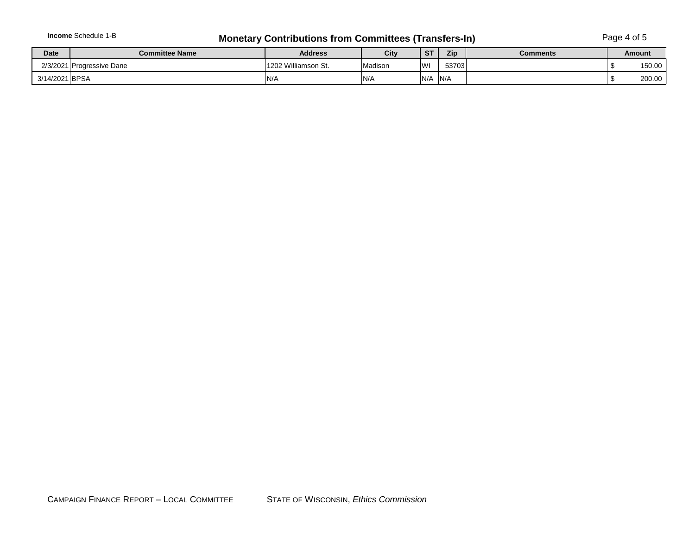## **Income** Schedule 1-B **Monetary Contributions from Committees (Transfers-In)** Page 4 of 5

| <b>Date</b>    | <b>Committee Name</b>     | <b>Address</b>      | City    | S <sub>T</sub> | Zip   | <b>Comments</b> | <b>Amount</b> |
|----------------|---------------------------|---------------------|---------|----------------|-------|-----------------|---------------|
|                | 2/3/2021 Progressive Dane | 1202 Williamson St. | Madison | lwı            | 53703 |                 | 150.00        |
| 3/14/2021 BPSA |                           | IN/A                | IN/A    | N/A            | N/A   |                 | 200.00        |